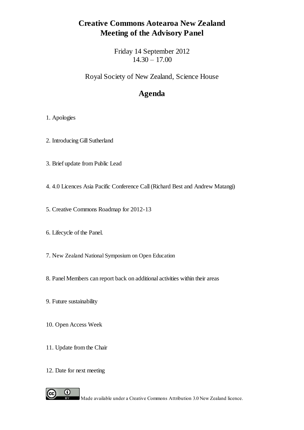# **Creative Commons Aotearoa New Zealand Meeting of the Advisory Panel**

Friday 14 September 2012 14.30 – 17.00

Royal Society of New Zealand, Science House

# **Agenda**

### 1. Apologies

- 2. Introducing Gill Sutherland
- 3. Brief update from Public Lead
- 4. 4.0 Licences Asia Pacific Conference Call (Richard Best and Andrew Matangi)
- 5. Creative Commons Roadmap for 2012-13
- 6. Lifecycle of the Panel.
- 7. New Zealand National Symposium on Open Education
- 8. Panel Members can report back on additional activities within their areas
- 9. Future sustainability
- 10. Open Access Week
- 11. Update from the Chair
- 12. Date for next meeting

 $_{\odot}$ 

 $\overline{\mathbf{B}^{\mathbf{Y}}}$ 

 $(cc)$ 

Made available under a Creative Commons Attribution 3.0 New Zealand licence.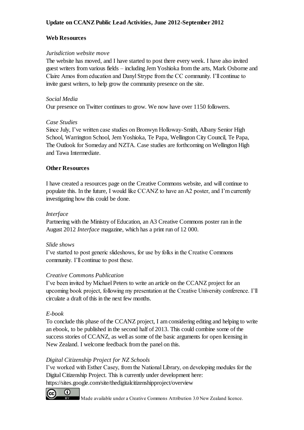# **Update on CCANZ Public Lead Activities, June 2012-September 2012**

### **Web Resources**

### *Jurisdiction website move*

The website has moved, and I have started to post there every week. I have also invited guest writers from various fields – including Jem Yoshioka from the arts, Mark Osborne and Claire Amos from education and Danyl Strype from the CC community. I'll continue to invite guest writers, to help grow the community presence on the site.

### *Social Media*

Our presence on Twitter continues to grow. We now have over 1150 followers.

### *Case Studies*

Since July, I've written case studies on Bronwyn Holloway-Smith, Albany Senior High School, Warrington School, Jem Yoshioka, Te Papa, Wellington City Council, Te Papa, The Outlook for Someday and NZTA. Case studies are forthcoming on Wellington High and Tawa Intermediate.

### **Other Resources**

I have created a resources page on the Creative Commons website, and will continue to populate this. In the future, I would like CCANZ to have an A2 poster, and I'm currently investigating how this could be done.

## *Interface*

Partnering with the Ministry of Education, an A3 Creative Commons poster ran in the August 2012 *Interface* magazine, which has a print run of 12 000.

### *Slide shows*

I've started to post generic slideshows, for use by folks in the Creative Commons community. I'll continue to post these.

# *Creative Commons Publication*

I've been invited by Michael Peters to write an article on the CCANZ project for an upcoming book project, following my presentation at the Creative University conference. I'll circulate a draft of this in the next few months.

### *E-book*

To conclude this phase of the CCANZ project, I am considering editing and helping to write an ebook, to be published in the second half of 2013. This could combine some of the success stories of CCANZ, as well as some of the basic arguments for open licensing in New Zealand. I welcome feedback from the panel on this.

# *Digital Citizenship Project for NZ Schools*

I've worked with Esther Casey, from the National Library, on developing modules for the Digital Citizenship Project. This is currently under development here: https://sites.google.com/site/thedigitalcitizenshipproject/overview



Made available under a Creative Commons Attribution 3.0 New Zealand licence.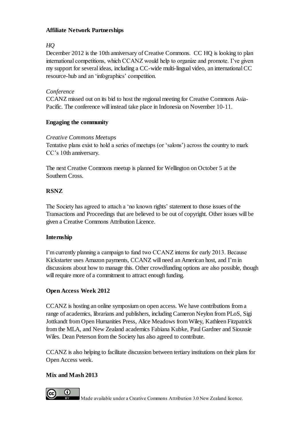### **Affiliate Network Partnerships**

# *HQ*

December 2012 is the 10th anniversary of Creative Commons. CC HQ is looking to plan international competitions, which CCANZ would help to organize and promote. I've given my support for several ideas, including a CC-wide multi-lingual video, an international CC resource-hub and an 'infographics' competition.

# *Conference*

CCANZ missed out on its bid to host the regional meeting for Creative Commons Asia-Pacific. The conference will instead take place in Indonesia on November 10-11.

### **Engaging the community**

### *Creative Commons Meetups*

Tentative plans exist to hold a series of meetups (or 'salons') across the country to mark CC's 10th anniversary.

The next Creative Commons meetup is planned for Wellington on October 5 at the Southern Cross.

# **RSNZ**

The Society has agreed to attach a 'no known rights' statement to those issues of the Transactions and Proceedings that are believed to be out of copyright. Other issues will be given a Creative Commons Attribution Licence.

### **Internship**

I'm currently planning a campaign to fund two CCANZ interns for early 2013. Because Kickstarter uses Amazon payments, CCANZ will need an American host, and I'm in discussions about how to manage this. Other crowdfunding options are also possible, though will require more of a commitment to attract enough funding.

### **Open Access Week 2012**

CCANZ is hosting an online symposium on open access. We have contributions from a range of academics, librarians and publishers, including Cameron Neylon from PLoS, Sigi Jottkandt from Open Humanities Press, Alice Meadows from Wiley, Kathleen Fitzpatrick from the MLA, and New Zealand academics Fabiana Kubke, Paul Gardner and Siouxsie Wiles. Dean Peterson from the Society has also agreed to contribute.

CCANZ is also helping to facilitate discussion between tertiary institutions on their plans for Open Access week.

# **Mix and Mash 2013**



Made available under a Creative Commons Attribution 3.0 New Zealand licence.